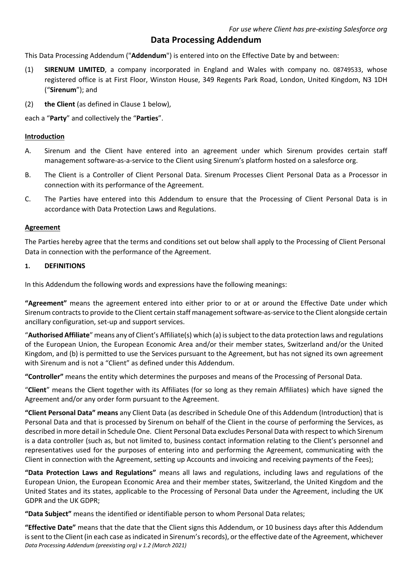# **Data Processing Addendum**

This Data Processing Addendum ("**Addendum**") is entered into on the Effective Date by and between:

- (1) **SIRENUM LIMITED**, a company incorporated in England and Wales with company no. 08749533, whose registered office is at First Floor, Winston House, 349 Regents Park Road, London, United Kingdom, N3 1DH ("**Sirenum**"); and
- (2) **the Client** (as defined in Clause 1 below),

each a "**Party**" and collectively the "**Parties**".

### **Introduction**

- A. Sirenum and the Client have entered into an agreement under which Sirenum provides certain staff management software-as-a-service to the Client using Sirenum's platform hosted on a salesforce org.
- B. The Client is a Controller of Client Personal Data. Sirenum Processes Client Personal Data as a Processor in connection with its performance of the Agreement.
- C. The Parties have entered into this Addendum to ensure that the Processing of Client Personal Data is in accordance with Data Protection Laws and Regulations.

### **Agreement**

The Parties hereby agree that the terms and conditions set out below shall apply to the Processing of Client Personal Data in connection with the performance of the Agreement.

#### **1. DEFINITIONS**

In this Addendum the following words and expressions have the following meanings:

**"Agreement"** means the agreement entered into either prior to or at or around the Effective Date under which Sirenum contracts to provide to the Client certain staff management software-as-service to the Client alongside certain ancillary configuration, set-up and support services.

"**Authorised Affiliate**" means any of Client's Affiliate(s) which (a) issubjectto the data protection laws and regulations of the European Union, the European Economic Area and/or their member states, Switzerland and/or the United Kingdom, and (b) is permitted to use the Services pursuant to the Agreement, but has not signed its own agreement with Sirenum and is not a "Client" as defined under this Addendum.

**"Controller"** means the entity which determines the purposes and means of the Processing of Personal Data.

"**Client**" means the Client together with its Affiliates (for so long as they remain Affiliates) which have signed the Agreement and/or any order form pursuant to the Agreement.

**"Client Personal Data" means** any Client Data (as described in Schedule One of this Addendum (Introduction) that is Personal Data and that is processed by Sirenum on behalf of the Client in the course of performing the Services, as described in more detail in Schedule One. Client Personal Data excludes Personal Data with respect to which Sirenum is a data controller (such as, but not limited to, business contact information relating to the Client's personnel and representatives used for the purposes of entering into and performing the Agreement, communicating with the Client in connection with the Agreement, setting up Accounts and invoicing and receiving payments of the Fees);

**"Data Protection Laws and Regulations"** means all laws and regulations, including laws and regulations of the European Union, the European Economic Area and their member states, Switzerland, the United Kingdom and the United States and its states, applicable to the Processing of Personal Data under the Agreement, including the UK GDPR and the UK GDPR;

**"Data Subject"** means the identified or identifiable person to whom Personal Data relates;

*Data Processing Addendum (preexisting org) v 1.2 (March 2021)* **"Effective Date"** means that the date that the Client signs this Addendum, or 10 business days after this Addendum is sent to the Client (in each case as indicated in Sirenum'srecords), or the effective date of the Agreement, whichever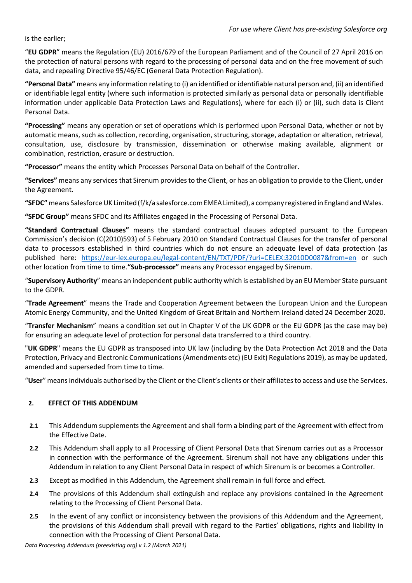is the earlier;

"**EU GDPR**" means the Regulation (EU) 2016/679 of the European Parliament and of the Council of 27 April 2016 on the protection of natural persons with regard to the processing of personal data and on the free movement of such data, and repealing Directive 95/46/EC (General Data Protection Regulation).

**"Personal Data"** means any information relating to (i) an identified or identifiable natural person and, (ii) an identified or identifiable legal entity (where such information is protected similarly as personal data or personally identifiable information under applicable Data Protection Laws and Regulations), where for each (i) or (ii), such data is Client Personal Data.

**"Processing"** means any operation or set of operations which is performed upon Personal Data, whether or not by automatic means, such as collection, recording, organisation, structuring, storage, adaptation or alteration, retrieval, consultation, use, disclosure by transmission, dissemination or otherwise making available, alignment or combination, restriction, erasure or destruction.

**"Processor"** means the entity which Processes Personal Data on behalf of the Controller.

**"Services"** means any services that Sirenum provides to the Client, or has an obligation to provide to the Client, under the Agreement.

"SFDC" means Salesforce UK Limited (f/k/a salesforce.com EMEA Limited), a company registered in England and Wales.

**"SFDC Group"** means SFDC and its Affiliates engaged in the Processing of Personal Data.

**"Standard Contractual Clauses"** means the standard contractual clauses adopted pursuant to the European Commission's decision (C(2010)593) of 5 February 2010 on Standard Contractual Clauses for the transfer of personal data to processors established in third countries which do not ensure an adequate level of data protection (as published here: https://eur-lex.europa.eu/legal-content/EN/TXT/PDF/?uri=CELEX:32010D0087&from=en or such other location from time to time.**"Sub-processor"** means any Processor engaged by Sirenum.

"**Supervisory Authority**" means an independent public authority which is established by an EU Member State pursuant to the GDPR.

"**Trade Agreement**" means the Trade and Cooperation Agreement between the European Union and the European Atomic Energy Community, and the United Kingdom of Great Britain and Northern Ireland dated 24 December 2020.

"**Transfer Mechanism**" means a condition set out in Chapter V of the UK GDPR or the EU GDPR (as the case may be) for ensuring an adequate level of protection for personal data transferred to a third country.

"**UK GDPR**" means the EU GDPR as transposed into UK law (including by the Data Protection Act 2018 and the Data Protection, Privacy and Electronic Communications (Amendments etc) (EU Exit) Regulations 2019), as may be updated, amended and superseded from time to time.

"**User**" means individuals authorised by the Client or the Client's clients or their affiliates to access and use the Services.

# **2. EFFECT OF THIS ADDENDUM**

- **2.1** This Addendum supplements the Agreement and shall form a binding part of the Agreement with effect from the Effective Date.
- **2.2** This Addendum shall apply to all Processing of Client Personal Data that Sirenum carries out as a Processor in connection with the performance of the Agreement. Sirenum shall not have any obligations under this Addendum in relation to any Client Personal Data in respect of which Sirenum is or becomes a Controller.
- **2.3** Except as modified in this Addendum, the Agreement shall remain in full force and effect.
- **2.4** The provisions of this Addendum shall extinguish and replace any provisions contained in the Agreement relating to the Processing of Client Personal Data.
- **2.5** In the event of any conflict or inconsistency between the provisions of this Addendum and the Agreement, the provisions of this Addendum shall prevail with regard to the Parties' obligations, rights and liability in connection with the Processing of Client Personal Data.

*Data Processing Addendum (preexisting org) v 1.2 (March 2021)*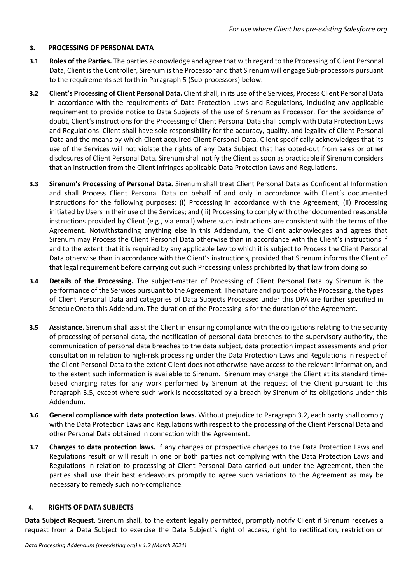### **3. PROCESSING OF PERSONAL DATA**

- **3.1 Roles of the Parties.** The parties acknowledge and agree that with regard to the Processing of Client Personal Data, Client is the Controller, Sirenum isthe Processor and that Sirenum will engage Sub-processors pursuant to the requirements set forth in Paragraph 5 (Sub-processors) below.
- **3.2 Client's Processing of Client Personal Data.** Client shall, in its use of the Services, Process Client Personal Data in accordance with the requirements of Data Protection Laws and Regulations, including any applicable requirement to provide notice to Data Subjects of the use of Sirenum as Processor. For the avoidance of doubt, Client's instructions for the Processing of Client Personal Data shall comply with Data Protection Laws and Regulations. Client shall have sole responsibility for the accuracy, quality, and legality of Client Personal Data and the means by which Client acquired Client Personal Data. Client specifically acknowledges that its use of the Services will not violate the rights of any Data Subject that has opted-out from sales or other disclosures of Client Personal Data. Sirenum shall notify the Client as soon as practicable if Sirenum considers that an instruction from the Client infringes applicable Data Protection Laws and Regulations.
- **3.3 Sirenum's Processing of Personal Data.** Sirenum shall treat Client Personal Data as Confidential Information and shall Process Client Personal Data on behalf of and only in accordance with Client's documented instructions for the following purposes: (i) Processing in accordance with the Agreement; (ii) Processing initiated by Users in their use of the Services; and (iii) Processing to comply with other documented reasonable instructions provided by Client (e.g., via email) where such instructions are consistent with the terms of the Agreement. Notwithstanding anything else in this Addendum, the Client acknowledges and agrees that Sirenum may Process the Client Personal Data otherwise than in accordance with the Client's instructions if and to the extent that it is required by any applicable law to which it is subject to Process the Client Personal Data otherwise than in accordance with the Client's instructions, provided that Sirenum informs the Client of that legal requirement before carrying out such Processing unless prohibited by that law from doing so.
- **3.4 Details of the Processing.** The subject-matter of Processing of Client Personal Data by Sirenum is the performance of the Services pursuant to the Agreement. The nature and purpose of the Processing, the types of Client Personal Data and categories of Data Subjects Processed under this DPA are further specified in Schedule One to this Addendum. The duration of the Processing is for the duration of the Agreement.
- **3.5 Assistance**. Sirenum shall assist the Client in ensuring compliance with the obligations relating to the security of processing of personal data, the notification of personal data breaches to the supervisory authority, the communication of personal data breaches to the data subject, data protection impact assessments and prior consultation in relation to high-risk processing under the Data Protection Laws and Regulations in respect of the Client Personal Data to the extent Client does not otherwise have access to the relevant information, and to the extent such information is available to Sirenum. Sirenum may charge the Client at its standard timebased charging rates for any work performed by Sirenum at the request of the Client pursuant to this Paragraph 3.5, except where such work is necessitated by a breach by Sirenum of its obligations under this Addendum.
- **3.6 General compliance with data protection laws.** Without prejudice to Paragraph 3.2, each party shall comply with the Data Protection Laws and Regulations with respect to the processing of the Client Personal Data and other Personal Data obtained in connection with the Agreement.
- **3.7 Changes to data protection laws.** If any changes or prospective changes to the Data Protection Laws and Regulations result or will result in one or both parties not complying with the Data Protection Laws and Regulations in relation to processing of Client Personal Data carried out under the Agreement, then the parties shall use their best endeavours promptly to agree such variations to the Agreement as may be necessary to remedy such non-compliance.

### **4. RIGHTS OF DATA SUBJECTS**

**Data Subject Request.** Sirenum shall, to the extent legally permitted, promptly notify Client if Sirenum receives a request from a Data Subject to exercise the Data Subject's right of access, right to rectification, restriction of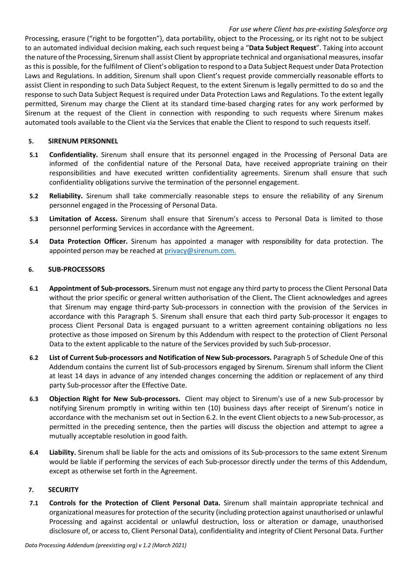Processing, erasure ("right to be forgotten"), data portability, object to the Processing, or its right not to be subject to an automated individual decision making, each such request being a "**Data Subject Request**". Taking into account the nature ofthe Processing, Sirenum shall assist Client by appropriate technical and organisational measures, insofar as this is possible, for the fulfilment of Client's obligation to respond to a Data Subject Request under Data Protection Laws and Regulations. In addition, Sirenum shall upon Client's request provide commercially reasonable efforts to assist Client in responding to such Data Subject Request, to the extent Sirenum is legally permitted to do so and the response to such Data Subject Request is required under Data Protection Laws and Regulations. To the extent legally permitted, Sirenum may charge the Client at its standard time-based charging rates for any work performed by Sirenum at the request of the Client in connection with responding to such requests where Sirenum makes automated tools available to the Client via the Services that enable the Client to respond to such requests itself.

### **5. SIRENUM PERSONNEL**

- **5.1 Confidentiality.** Sirenum shall ensure that its personnel engaged in the Processing of Personal Data are informed of the confidential nature of the Personal Data, have received appropriate training on their responsibilities and have executed written confidentiality agreements. Sirenum shall ensure that such confidentiality obligations survive the termination of the personnel engagement.
- **5.2 Reliability.** Sirenum shall take commercially reasonable steps to ensure the reliability of any Sirenum personnel engaged in the Processing of Personal Data.
- **5.3 Limitation of Access.** Sirenum shall ensure that Sirenum's access to Personal Data is limited to those personnel performing Services in accordance with the Agreement.
- **5.4 Data Protection Officer.** Sirenum has appointed a manager with responsibility for data protection. The appointed person may be reached at privacy@sirenum.com.

# **6. SUB-PROCESSORS**

- **6.1 Appointment of Sub-processors.** Sirenum must not engage any third party to process the Client Personal Data without the prior specific or general written authorisation of the Client**.** The Client acknowledges and agrees that Sirenum may engage third-party Sub-processors in connection with the provision of the Services in accordance with this Paragraph 5. Sirenum shall ensure that each third party Sub-processor it engages to process Client Personal Data is engaged pursuant to a written agreement containing obligations no less protective as those imposed on Sirenum by this Addendum with respect to the protection of Client Personal Data to the extent applicable to the nature of the Services provided by such Sub-processor.
- **6.2 List of Current Sub-processors and Notification of New Sub-processors.** Paragraph 5 of Schedule One of this Addendum contains the current list of Sub-processors engaged by Sirenum. Sirenum shall inform the Client at least 14 days in advance of any intended changes concerning the addition or replacement of any third party Sub-processor after the Effective Date.
- **6.3 Objection Right for New Sub-processors.** Client may object to Sirenum's use of a new Sub-processor by notifying Sirenum promptly in writing within ten (10) business days after receipt of Sirenum's notice in accordance with the mechanism set out in Section 6.2. In the event Client objects to a new Sub-processor, as permitted in the preceding sentence, then the parties will discuss the objection and attempt to agree a mutually acceptable resolution in good faith.
- **6.4 Liability.** Sirenum shall be liable for the acts and omissions of its Sub-processors to the same extent Sirenum would be liable if performing the services of each Sub-processor directly under the terms of this Addendum, except as otherwise set forth in the Agreement.

### **7. SECURITY**

**7.1 Controls for the Protection of Client Personal Data.** Sirenum shall maintain appropriate technical and organizational measures for protection of the security (including protection against unauthorised or unlawful Processing and against accidental or unlawful destruction, loss or alteration or damage, unauthorised disclosure of, or access to, Client Personal Data), confidentiality and integrity of Client Personal Data. Further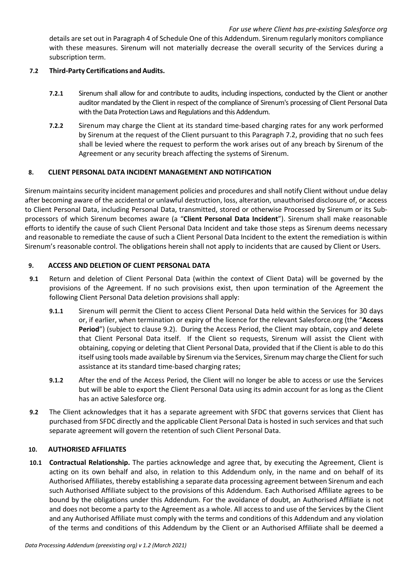details are set out in Paragraph 4 of Schedule One of this Addendum. Sirenum regularly monitors compliance with these measures. Sirenum will not materially decrease the overall security of the Services during a subscription term.

# **7.2 Third-Party Certifications and Audits.**

- **7.2.1** Sirenum shall allow for and contribute to audits, including inspections, conducted by the Client or another auditor mandated by the Client in respect of the compliance of Sirenum's processing of Client Personal Data with the Data Protection Laws and Regulations and this Addendum.
- **7.2.2** Sirenum may charge the Client at its standard time-based charging rates for any work performed by Sirenum at the request of the Client pursuant to this Paragraph 7.2, providing that no such fees shall be levied where the request to perform the work arises out of any breach by Sirenum of the Agreement or any security breach affecting the systems of Sirenum.

# **8. CLIENT PERSONAL DATA INCIDENT MANAGEMENT AND NOTIFICATION**

Sirenum maintains security incident management policies and procedures and shall notify Client without undue delay after becoming aware of the accidental or unlawful destruction, loss, alteration, unauthorised disclosure of, or access to Client Personal Data, including Personal Data, transmitted, stored or otherwise Processed by Sirenum or its Subprocessors of which Sirenum becomes aware (a "**Client Personal Data Incident**"). Sirenum shall make reasonable efforts to identify the cause of such Client Personal Data Incident and take those steps as Sirenum deems necessary and reasonable to remediate the cause of such a Client Personal Data Incident to the extent the remediation is within Sirenum's reasonable control. The obligations herein shall not apply to incidents that are caused by Client or Users.

# **9. ACCESS AND DELETION OF CLIENT PERSONAL DATA**

- **9.1** Return and deletion of Client Personal Data (within the context of Client Data) will be governed by the provisions of the Agreement. If no such provisions exist, then upon termination of the Agreement the following Client Personal Data deletion provisions shall apply:
	- **9.1.1** Sirenum will permit the Client to access Client Personal Data held within the Services for 30 days or, if earlier, when termination or expiry of the licence for the relevant Salesforce.org (the "**Access Period**") (subject to clause 9.2). During the Access Period, the Client may obtain, copy and delete that Client Personal Data itself. If the Client so requests, Sirenum will assist the Client with obtaining, copying or deleting that Client Personal Data, provided that if the Client is able to do this itself using tools made available by Sirenum via the Services, Sirenum may charge the Client for such assistance at its standard time-based charging rates;
	- **9.1.2** After the end of the Access Period, the Client will no longer be able to access or use the Services but will be able to export the Client Personal Data using its admin account for as long as the Client has an active Salesforce org.
- **9.2** The Client acknowledges that it has a separate agreement with SFDC that governs services that Client has purchased from SFDC directly and the applicable Client Personal Data is hosted in such services and that such separate agreement will govern the retention of such Client Personal Data.

### **10. AUTHORISED AFFILIATES**

**10.1 Contractual Relationship.** The parties acknowledge and agree that, by executing the Agreement, Client is acting on its own behalf and also, in relation to this Addendum only, in the name and on behalf of its Authorised Affiliates, thereby establishing a separate data processing agreement between Sirenum and each such Authorised Affiliate subject to the provisions of this Addendum. Each Authorised Affiliate agrees to be bound by the obligations under this Addendum. For the avoidance of doubt, an Authorised Affiliate is not and does not become a party to the Agreement as a whole. All access to and use of the Services by the Client and any Authorised Affiliate must comply with the terms and conditions of this Addendum and any violation of the terms and conditions of this Addendum by the Client or an Authorised Affiliate shall be deemed a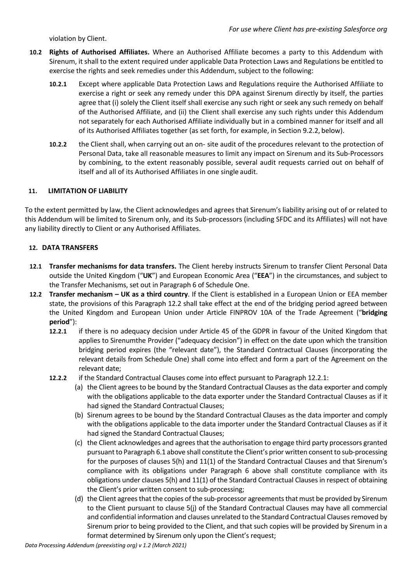violation by Client.

- **10.2 Rights of Authorised Affiliates.** Where an Authorised Affiliate becomes a party to this Addendum with Sirenum, it shall to the extent required under applicable Data Protection Laws and Regulations be entitled to exercise the rights and seek remedies under this Addendum, subject to the following:
	- **10.2.1** Except where applicable Data Protection Laws and Regulations require the Authorised Affiliate to exercise a right or seek any remedy under this DPA against Sirenum directly by itself, the parties agree that (i) solely the Client itself shall exercise any such right or seek any such remedy on behalf of the Authorised Affiliate, and (ii) the Client shall exercise any such rights under this Addendum not separately for each Authorised Affiliate individually but in a combined manner for itself and all of its Authorised Affiliates together (as set forth, for example, in Section 9.2.2, below).
	- **10.2.2** the Client shall, when carrying out an on- site audit of the procedures relevant to the protection of Personal Data, take all reasonable measures to limit any impact on Sirenum and its Sub-Processors by combining, to the extent reasonably possible, several audit requests carried out on behalf of itself and all of its Authorised Affiliates in one single audit.

# **11. LIMITATION OF LIABILITY**

To the extent permitted by law, the Client acknowledges and agrees that Sirenum's liability arising out of or related to this Addendum will be limited to Sirenum only, and its Sub-processors (including SFDC and its Affiliates) will not have any liability directly to Client or any Authorised Affiliates.

# **12. DATA TRANSFERS**

- **12.1 Transfer mechanisms for data transfers.** The Client hereby instructs Sirenum to transfer Client Personal Data outside the United Kingdom ("**UK**") and European Economic Area ("**EEA**") in the circumstances, and subject to the Transfer Mechanisms, set out in Paragraph 6 of Schedule One.
- **12.2 Transfer mechanism – UK as a third country**. If the Client is established in a European Union or EEA member state, the provisions of this Paragraph 12.2 shall take effect at the end of the bridging period agreed between the United Kingdom and European Union under Article FINPROV 10A of the Trade Agreement ("**bridging period**"):
	- **12.2.1** if there is no adequacy decision under Article 45 of the GDPR in favour of the United Kingdom that applies to Sirenumthe Provider ("adequacy decision") in effect on the date upon which the transition bridging period expires (the "relevant date"), the Standard Contractual Clauses (incorporating the relevant details from Schedule One) shall come into effect and form a part of the Agreement on the relevant date;
	- **12.2.2** if the Standard Contractual Clauses come into effect pursuant to Paragraph 12.2.1:
		- (a) the Client agrees to be bound by the Standard Contractual Clauses as the data exporter and comply with the obligations applicable to the data exporter under the Standard Contractual Clauses as if it had signed the Standard Contractual Clauses;
		- (b) Sirenum agrees to be bound by the Standard Contractual Clauses as the data importer and comply with the obligations applicable to the data importer under the Standard Contractual Clauses as if it had signed the Standard Contractual Clauses;
		- (c) the Client acknowledges and agrees that the authorisation to engage third party processors granted pursuant to Paragraph 6.1 above shall constitute the Client's prior written consent to sub-processing for the purposes of clauses 5(h) and 11(1) of the Standard Contractual Clauses and that Sirenum's compliance with its obligations under Paragraph 6 above shall constitute compliance with its obligations under clauses 5(h) and 11(1) of the Standard Contractual Clauses in respect of obtaining the Client's prior written consent to sub-processing;
		- (d) the Client agrees that the copies of the sub-processor agreements that must be provided by Sirenum to the Client pursuant to clause 5(j) of the Standard Contractual Clauses may have all commercial and confidential information and clauses unrelated to the Standard Contractual Clauses removed by Sirenum prior to being provided to the Client, and that such copies will be provided by Sirenum in a format determined by Sirenum only upon the Client's request;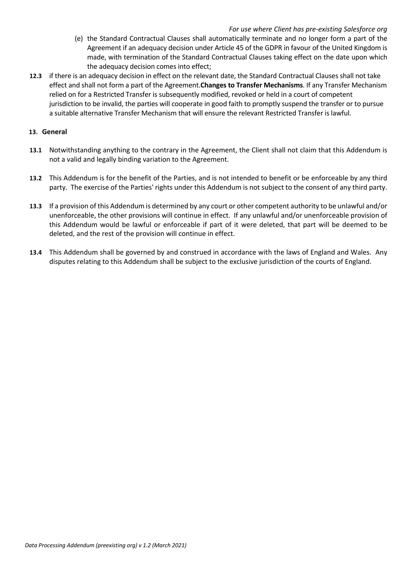#### *For use where Client has pre-existing Salesforce org*

- (e) the Standard Contractual Clauses shall automatically terminate and no longer form a part of the Agreement if an adequacy decision under Article 45 of the GDPR in favour of the United Kingdom is made, with termination of the Standard Contractual Clauses taking effect on the date upon which the adequacy decision comes into effect;
- **12.3** if there is an adequacy decision in effect on the relevant date, the Standard Contractual Clauses shall not take effect and shall not form a part of the Agreement.**Changes to Transfer Mechanisms**. If any Transfer Mechanism relied on for a Restricted Transfer is subsequently modified, revoked or held in a court of competent jurisdiction to be invalid, the parties will cooperate in good faith to promptly suspend the transfer or to pursue a suitable alternative Transfer Mechanism that will ensure the relevant Restricted Transfer is lawful.

#### **13. General**

- **13.1** Notwithstanding anything to the contrary in the Agreement, the Client shall not claim that this Addendum is not a valid and legally binding variation to the Agreement.
- **13.2** This Addendum is for the benefit of the Parties, and is not intended to benefit or be enforceable by any third party. The exercise of the Parties' rights under this Addendum is not subject to the consent of any third party.
- **13.3** If a provision of this Addendum is determined by any court or other competent authority to be unlawful and/or unenforceable, the other provisions will continue in effect. If any unlawful and/or unenforceable provision of this Addendum would be lawful or enforceable if part of it were deleted, that part will be deemed to be deleted, and the rest of the provision will continue in effect.
- **13.4** This Addendum shall be governed by and construed in accordance with the laws of England and Wales. Any disputes relating to this Addendum shall be subject to the exclusive jurisdiction of the courts of England.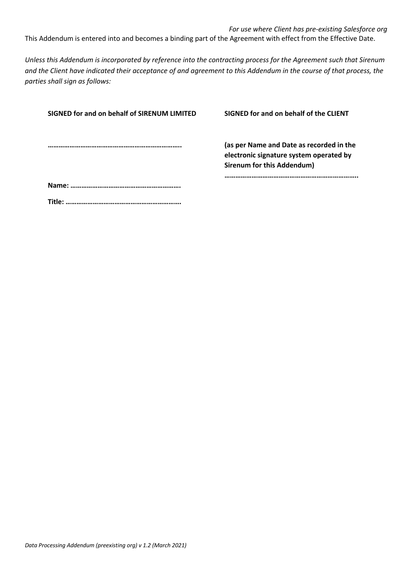*For use where Client has pre-existing Salesforce org* This Addendum is entered into and becomes a binding part of the Agreement with effect from the Effective Date.

*Unless this Addendum is incorporated by reference into the contracting process for the Agreement such that Sirenum and the Client have indicated their acceptance of and agreement to this Addendum in the course of that process, the parties shall sign as follows:*

| SIGNED for and on behalf of SIRENUM LIMITED | SIGNED for and on behalf of the CLIENT                                                                            |
|---------------------------------------------|-------------------------------------------------------------------------------------------------------------------|
|                                             | (as per Name and Date as recorded in the<br>electronic signature system operated by<br>Sirenum for this Addendum) |
|                                             |                                                                                                                   |
| Title:                                      |                                                                                                                   |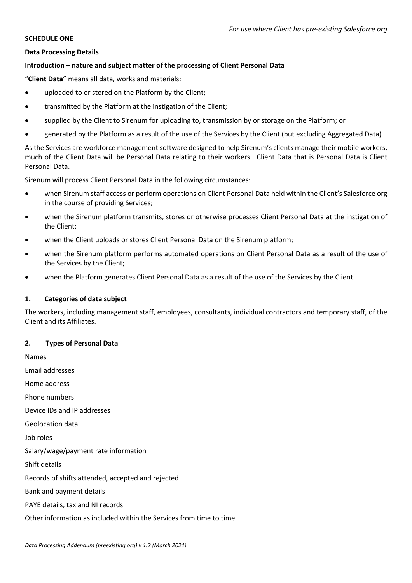#### **SCHEDULE ONE**

#### **Data Processing Details**

### **Introduction – nature and subject matter of the processing of Client Personal Data**

"**Client Data**" means all data, works and materials:

- uploaded to or stored on the Platform by the Client;
- transmitted by the Platform at the instigation of the Client;
- supplied by the Client to Sirenum for uploading to, transmission by or storage on the Platform; or
- generated by the Platform as a result of the use of the Services by the Client (but excluding Aggregated Data)

As the Services are workforce management software designed to help Sirenum's clients manage their mobile workers, much of the Client Data will be Personal Data relating to their workers. Client Data that is Personal Data is Client Personal Data.

Sirenum will process Client Personal Data in the following circumstances:

- when Sirenum staff access or perform operations on Client Personal Data held within the Client's Salesforce org in the course of providing Services;
- when the Sirenum platform transmits, stores or otherwise processes Client Personal Data at the instigation of the Client;
- when the Client uploads or stores Client Personal Data on the Sirenum platform;
- when the Sirenum platform performs automated operations on Client Personal Data as a result of the use of the Services by the Client;
- when the Platform generates Client Personal Data as a result of the use of the Services by the Client.

### **1. Categories of data subject**

The workers, including management staff, employees, consultants, individual contractors and temporary staff, of the Client and its Affiliates.

### **2. Types of Personal Data**

Names Email addresses Home address Phone numbers Device IDs and IP addresses Geolocation data Job roles Salary/wage/payment rate information Shift details Records of shifts attended, accepted and rejected Bank and payment details PAYE details, tax and NI records Other information as included within the Services from time to time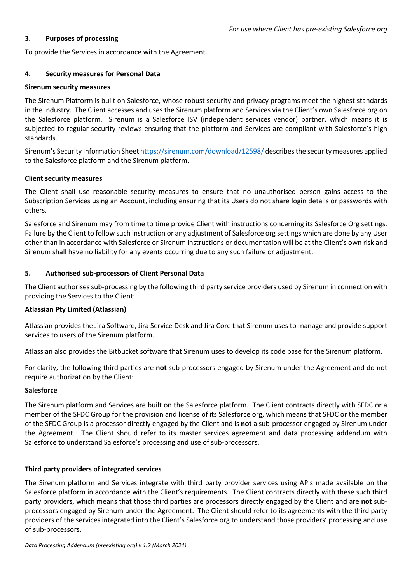# **3. Purposes of processing**

To provide the Services in accordance with the Agreement.

# **4. Security measures for Personal Data**

### **Sirenum security measures**

The Sirenum Platform is built on Salesforce, whose robust security and privacy programs meet the highest standards in the industry. The Client accesses and uses the Sirenum platform and Services via the Client's own Salesforce org on the Salesforce platform. Sirenum is a Salesforce ISV (independent services vendor) partner, which means it is subjected to regular security reviews ensuring that the platform and Services are compliant with Salesforce's high standards.

Sirenum's Security Information Sheet https://sirenum.com/download/12598/ describes the security measures applied to the Salesforce platform and the Sirenum platform.

# **Client security measures**

The Client shall use reasonable security measures to ensure that no unauthorised person gains access to the Subscription Services using an Account, including ensuring that its Users do not share login details or passwords with others.

Salesforce and Sirenum may from time to time provide Client with instructions concerning its Salesforce Org settings. Failure by the Client to follow such instruction or any adjustment of Salesforce org settings which are done by any User other than in accordance with Salesforce or Sirenum instructions or documentation will be at the Client's own risk and Sirenum shall have no liability for any events occurring due to any such failure or adjustment.

# **5. Authorised sub-processors of Client Personal Data**

The Client authorises sub-processing by the following third party service providers used by Sirenum in connection with providing the Services to the Client:

### **Atlassian Pty Limited (Atlassian)**

Atlassian provides the Jira Software, Jira Service Desk and Jira Core that Sirenum uses to manage and provide support services to users of the Sirenum platform.

Atlassian also provides the Bitbucket software that Sirenum uses to develop its code base for the Sirenum platform.

For clarity, the following third parties are **not** sub-processors engaged by Sirenum under the Agreement and do not require authorization by the Client:

### **Salesforce**

The Sirenum platform and Services are built on the Salesforce platform. The Client contracts directly with SFDC or a member of the SFDC Group for the provision and license of its Salesforce org, which means that SFDC or the member of the SFDC Group is a processor directly engaged by the Client and is **not** a sub-processor engaged by Sirenum under the Agreement. The Client should refer to its master services agreement and data processing addendum with Salesforce to understand Salesforce's processing and use of sub-processors.

### **Third party providers of integrated services**

The Sirenum platform and Services integrate with third party provider services using APIs made available on the Salesforce platform in accordance with the Client's requirements. The Client contracts directly with these such third party providers, which means that those third parties are processors directly engaged by the Client and are **not** subprocessors engaged by Sirenum under the Agreement. The Client should refer to its agreements with the third party providers of the services integrated into the Client's Salesforce org to understand those providers' processing and use of sub-processors.